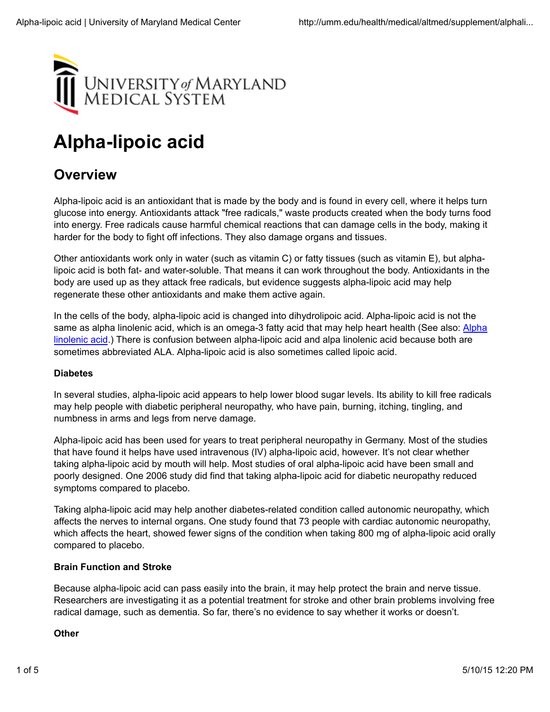

# **Alpha-lipoic acid**

# **Overview**

Alpha-lipoic acid is an antioxidant that is made by the body and is found in every cell, where it helps turn glucose into energy. Antioxidants attack "free radicals," waste products created when the body turns food into energy. Free radicals cause harmful chemical reactions that can damage cells in the body, making it harder for the body to fight off infections. They also damage organs and tissues.

Other antioxidants work only in water (such as vitamin C) or fatty tissues (such as vitamin E), but alphalipoic acid is both fat- and water-soluble. That means it can work throughout the body. Antioxidants in the body are used up as they attack free radicals, but evidence suggests alpha-lipoic acid may help regenerate these other antioxidants and make them active again.

In the cells of the body, alpha-lipoic acid is changed into dihydrolipoic acid. Alpha-lipoic acid is not the same as alpha linolenic acid, which is an omega-3 fatty acid that may help heart health (See also: Alpha linolenic acid.) There is confusion between alpha-lipoic acid and alpa linolenic acid because both are sometimes abbreviated ALA. Alpha-lipoic acid is also sometimes called lipoic acid.

#### **Diabetes**

In several studies, alpha-lipoic acid appears to help lower blood sugar levels. Its ability to kill free radicals may help people with diabetic peripheral neuropathy, who have pain, burning, itching, tingling, and numbness in arms and legs from nerve damage.

Alpha-lipoic acid has been used for years to treat peripheral neuropathy in Germany. Most of the studies that have found it helps have used intravenous (IV) alpha-lipoic acid, however. It's not clear whether taking alpha-lipoic acid by mouth will help. Most studies of oral alpha-lipoic acid have been small and poorly designed. One 2006 study did find that taking alpha-lipoic acid for diabetic neuropathy reduced symptoms compared to placebo.

Taking alpha-lipoic acid may help another diabetes-related condition called autonomic neuropathy, which affects the nerves to internal organs. One study found that 73 people with cardiac autonomic neuropathy, which affects the heart, showed fewer signs of the condition when taking 800 mg of alpha-lipoic acid orally compared to placebo.

#### **Brain Function and Stroke**

Because alpha-lipoic acid can pass easily into the brain, it may help protect the brain and nerve tissue. Researchers are investigating it as a potential treatment for stroke and other brain problems involving free radical damage, such as dementia. So far, there's no evidence to say whether it works or doesn't.

#### **Other**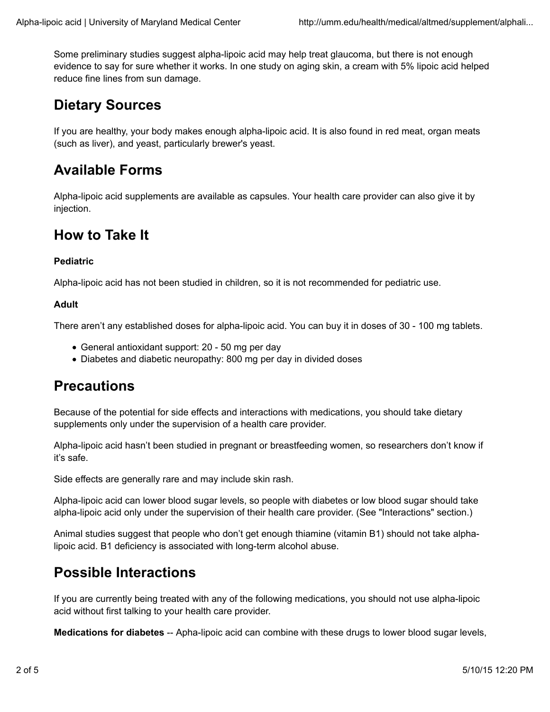Some preliminary studies suggest alpha-lipoic acid may help treat glaucoma, but there is not enough evidence to say for sure whether it works. In one study on aging skin, a cream with 5% lipoic acid helped reduce fine lines from sun damage.

# **Dietary Sources**

If you are healthy, your body makes enough alpha-lipoic acid. It is also found in red meat, organ meats (such as liver), and yeast, particularly brewer's yeast.

# **Available Forms**

Alpha-lipoic acid supplements are available as capsules. Your health care provider can also give it by injection.

### **How to Take It**

#### **Pediatric**

Alpha-lipoic acid has not been studied in children, so it is not recommended for pediatric use.

#### **Adult**

There aren't any established doses for alpha-lipoic acid. You can buy it in doses of 30 - 100 mg tablets.

- General antioxidant support: 20 50 mg per day
- Diabetes and diabetic neuropathy: 800 mg per day in divided doses

### **Precautions**

Because of the potential for side effects and interactions with medications, you should take dietary supplements only under the supervision of a health care provider.

Alpha-lipoic acid hasn't been studied in pregnant or breastfeeding women, so researchers don't know if it's safe.

Side effects are generally rare and may include skin rash.

Alpha-lipoic acid can lower blood sugar levels, so people with diabetes or low blood sugar should take alpha-lipoic acid only under the supervision of their health care provider. (See "Interactions" section.)

Animal studies suggest that people who don't get enough thiamine (vitamin B1) should not take alphalipoic acid. B1 deficiency is associated with long-term alcohol abuse.

### **Possible Interactions**

If you are currently being treated with any of the following medications, you should not use alpha-lipoic acid without first talking to your health care provider.

**Medications for diabetes** -- Apha-lipoic acid can combine with these drugs to lower blood sugar levels,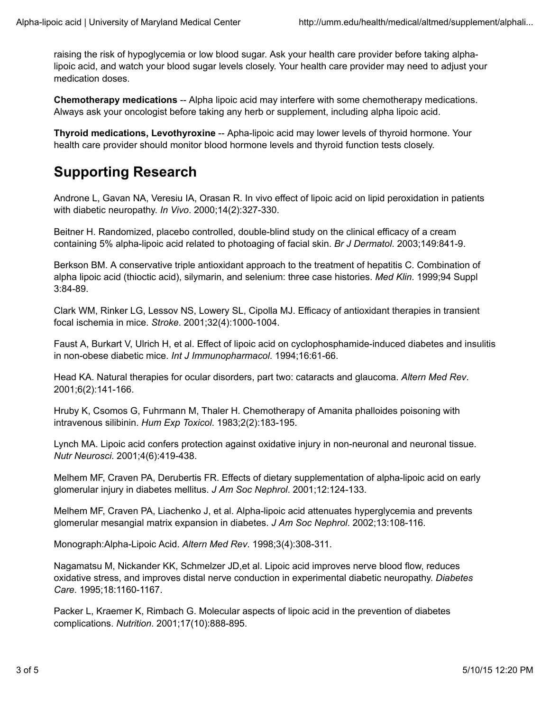raising the risk of hypoglycemia or low blood sugar. Ask your health care provider before taking alphalipoic acid, and watch your blood sugar levels closely. Your health care provider may need to adjust your medication doses.

**Chemotherapy medications** -- Alpha lipoic acid may interfere with some chemotherapy medications. Always ask your oncologist before taking any herb or supplement, including alpha lipoic acid.

**Thyroid medications, Levothyroxine** -- Apha-lipoic acid may lower levels of thyroid hormone. Your health care provider should monitor blood hormone levels and thyroid function tests closely.

# **Supporting Research**

Androne L, Gavan NA, Veresiu IA, Orasan R. In vivo effect of lipoic acid on lipid peroxidation in patients with diabetic neuropathy. *In Vivo*. 2000;14(2):327-330.

Beitner H. Randomized, placebo controlled, double-blind study on the clinical efficacy of a cream containing 5% alpha-lipoic acid related to photoaging of facial skin. *Br J Dermatol*. 2003;149:841-9.

Berkson BM. A conservative triple antioxidant approach to the treatment of hepatitis C. Combination of alpha lipoic acid (thioctic acid), silymarin, and selenium: three case histories. *Med Klin*. 1999;94 Suppl 3:84-89.

Clark WM, Rinker LG, Lessov NS, Lowery SL, Cipolla MJ. Efficacy of antioxidant therapies in transient focal ischemia in mice. *Stroke*. 2001;32(4):1000-1004.

Faust A, Burkart V, Ulrich H, et al. Effect of lipoic acid on cyclophosphamide-induced diabetes and insulitis in non-obese diabetic mice. *Int J Immunopharmacol*. 1994;16:61-66.

Head KA. Natural therapies for ocular disorders, part two: cataracts and glaucoma. *Altern Med Rev*. 2001;6(2):141-166.

Hruby K, Csomos G, Fuhrmann M, Thaler H. Chemotherapy of Amanita phalloides poisoning with intravenous silibinin. *Hum Exp Toxicol*. 1983;2(2):183-195.

Lynch MA. Lipoic acid confers protection against oxidative injury in non-neuronal and neuronal tissue. *Nutr Neurosci*. 2001;4(6):419-438.

Melhem MF, Craven PA, Derubertis FR. Effects of dietary supplementation of alpha-lipoic acid on early glomerular injury in diabetes mellitus. *J Am Soc Nephrol*. 2001;12:124-133.

Melhem MF, Craven PA, Liachenko J, et al. Alpha-lipoic acid attenuates hyperglycemia and prevents glomerular mesangial matrix expansion in diabetes. *J Am Soc Nephrol*. 2002;13:108-116.

Monograph:Alpha-Lipoic Acid. *Altern Med Rev*. 1998;3(4):308-311.

Nagamatsu M, Nickander KK, Schmelzer JD,et al. Lipoic acid improves nerve blood flow, reduces oxidative stress, and improves distal nerve conduction in experimental diabetic neuropathy. *Diabetes Care*. 1995;18:1160-1167.

Packer L, Kraemer K, Rimbach G. Molecular aspects of lipoic acid in the prevention of diabetes complications. *Nutrition*. 2001;17(10):888-895.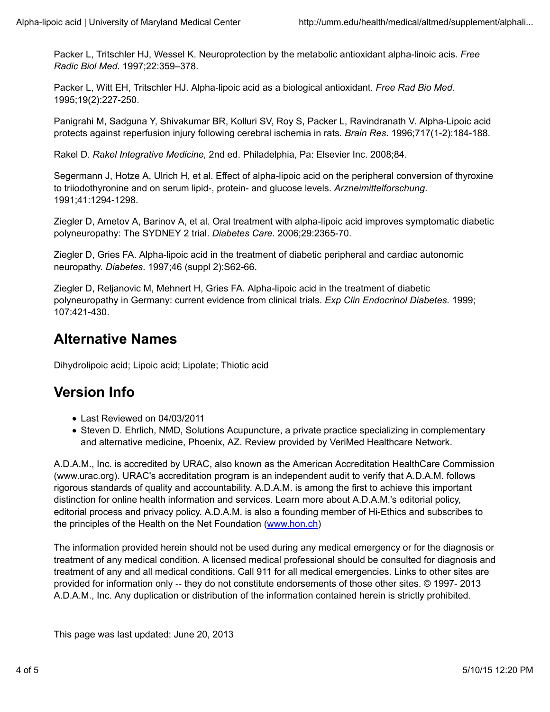Packer L, Tritschler HJ, Wessel K. Neuroprotection by the metabolic antioxidant alpha-linoic acis. *Free Radic Biol Med*. 1997;22:359–378.

Packer L, Witt EH, Tritschler HJ. Alpha-lipoic acid as a biological antioxidant. *Free Rad Bio Med*. 1995;19(2):227-250.

Panigrahi M, Sadguna Y, Shivakumar BR, Kolluri SV, Roy S, Packer L, Ravindranath V. Alpha-Lipoic acid protects against reperfusion injury following cerebral ischemia in rats. *Brain Res*. 1996;717(1-2):184-188.

Rakel D. *Rakel Integrative Medicine,* 2nd ed. Philadelphia, Pa: Elsevier Inc. 2008;84.

Segermann J, Hotze A, Ulrich H, et al. Effect of alpha-lipoic acid on the peripheral conversion of thyroxine to triiodothyronine and on serum lipid-, protein- and glucose levels. *Arzneimittelforschung*. 1991;41:1294-1298.

Ziegler D, Ametov A, Barinov A, et al. Oral treatment with alpha-lipoic acid improves symptomatic diabetic polyneuropathy: The SYDNEY 2 trial. *Diabetes Care*. 2006;29:2365-70.

Ziegler D, Gries FA. Alpha-lipoic acid in the treatment of diabetic peripheral and cardiac autonomic neuropathy. *Diabetes*. 1997;46 (suppl 2):S62-66.

Ziegler D, Reljanovic M, Mehnert H, Gries FA. Alpha-lipoic acid in the treatment of diabetic polyneuropathy in Germany: current evidence from clinical trials. *Exp Clin Endocrinol Diabetes.* 1999; 107:421-430.

# **Alternative Names**

Dihydrolipoic acid; Lipoic acid; Lipolate; Thiotic acid

# **Version Info**

- Last Reviewed on 04/03/2011
- Steven D. Ehrlich, NMD, Solutions Acupuncture, a private practice specializing in complementary and alternative medicine, Phoenix, AZ. Review provided by VeriMed Healthcare Network.

A.D.A.M., Inc. is accredited by URAC, also known as the American Accreditation HealthCare Commission (www.urac.org). URAC's accreditation program is an independent audit to verify that A.D.A.M. follows rigorous standards of quality and accountability. A.D.A.M. is among the first to achieve this important distinction for online health information and services. Learn more about A.D.A.M.'s editorial policy, editorial process and privacy policy. A.D.A.M. is also a founding member of Hi-Ethics and subscribes to the principles of the Health on the Net Foundation (www.hon.ch)

The information provided herein should not be used during any medical emergency or for the diagnosis or treatment of any medical condition. A licensed medical professional should be consulted for diagnosis and treatment of any and all medical conditions. Call 911 for all medical emergencies. Links to other sites are provided for information only -- they do not constitute endorsements of those other sites. © 1997- 2013 A.D.A.M., Inc. Any duplication or distribution of the information contained herein is strictly prohibited.

This page was last updated: June 20, 2013